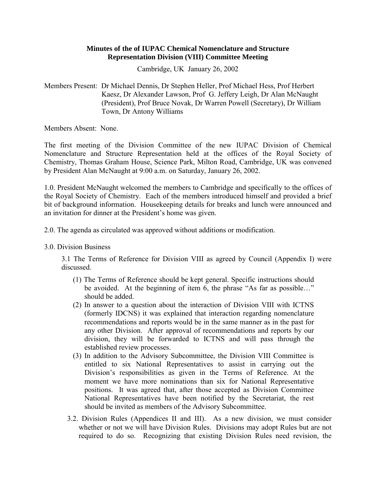### **Minutes of the of IUPAC Chemical Nomenclature and Structure Representation Division (VIII) Committee Meeting**

Cambridge, UK January 26, 2002

Members Present: Dr Michael Dennis, Dr Stephen Heller, Prof Michael Hess, Prof Herbert Kaesz, Dr Alexander Lawson, Prof G. Jeffery Leigh, Dr Alan McNaught (President), Prof Bruce Novak, Dr Warren Powell (Secretary), Dr William Town, Dr Antony Williams

Members Absent: None.

The first meeting of the Division Committee of the new IUPAC Division of Chemical Nomenclature and Structure Representation held at the offices of the Royal Society of Chemistry, Thomas Graham House, Science Park, Milton Road, Cambridge, UK was convened by President Alan McNaught at 9:00 a.m. on Saturday, January 26, 2002.

1.0. President McNaught welcomed the members to Cambridge and specifically to the offices of the Royal Society of Chemistry. Each of the members introduced himself and provided a brief bit of background information. Housekeeping details for breaks and lunch were announced and an invitation for dinner at the President's home was given.

2.0. The agenda as circulated was approved without additions or modification.

3.0. Division Business

3.1 The Terms of Reference for Division VIII as agreed by Council (Appendix I) were discussed.

- (1) The Terms of Reference should be kept general. Specific instructions should be avoided. At the beginning of item  $\overline{6}$ , the phrase "As far as possible..." should be added.
- (2) In answer to a question about the interaction of Division VIII with ICTNS (formerly IDCNS) it was explained that interaction regarding nomenclature recommendations and reports would be in the same manner as in the past for any other Division. After approval of recommendations and reports by our division, they will be forwarded to ICTNS and will pass through the established review processes.
- (3) In addition to the Advisory Subcommittee, the Division VIII Committee is entitled to six National Representatives to assist in carrying out the Division's responsibilities as given in the Terms of Reference. At the moment we have more nominations than six for National Representative positions. It was agreed that, after those accepted as Division Committee National Representatives have been notified by the Secretariat, the rest should be invited as members of the Advisory Subcommittee.
- 3.2. Division Rules (Appendices II and III). As a new division, we must consider whether or not we will have Division Rules. Divisions may adopt Rules but are not required to do so. Recognizing that existing Division Rules need revision, the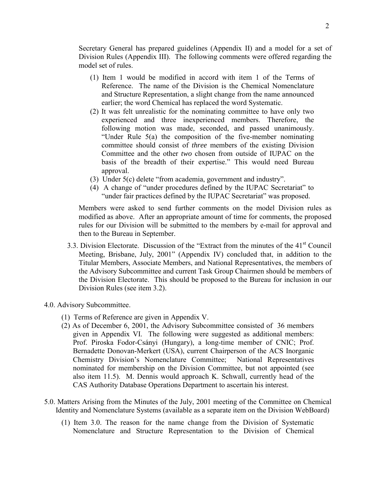Secretary General has prepared guidelines (Appendix II) and a model for a set of Division Rules (Appendix III). The following comments were offered regarding the model set of rules.

- (1) Item 1 would be modified in accord with item 1 of the Terms of Reference. The name of the Division is the Chemical Nomenclature and Structure Representation, a slight change from the name announced earlier; the word Chemical has replaced the word Systematic.
- (2) It was felt unrealistic for the nominating committee to have only two experienced and three inexperienced members. Therefore, the following motion was made, seconded, and passed unanimously. "Under Rule  $5(a)$  the composition of the five-member nominating committee should consist of *three* members of the existing Division Committee and the other *two* chosen from outside of IUPAC on the basis of the breadth of their expertise." This would need Bureau approval.
- (3) Under  $5(c)$  delete "from academia, government and industry".
- $(4)$  A change of "under procedures defined by the IUPAC Secretariat" to "under fair practices defined by the IUPAC Secretariat" was proposed.

Members were asked to send further comments on the model Division rules as modified as above. After an appropriate amount of time for comments, the proposed rules for our Division will be submitted to the members by e-mail for approval and then to the Bureau in September.

- 3.3. Division Electorate. Discussion of the "Extract from the minutes of the  $41<sup>st</sup>$  Council Meeting, Brisbane, July, 2001" (Appendix IV) concluded that, in addition to the Titular Members, Associate Members, and National Representatives, the members of the Advisory Subcommittee and current Task Group Chairmen should be members of the Division Electorate. This should be proposed to the Bureau for inclusion in our Division Rules (see item 3.2).
- 4.0. Advisory Subcommittee.
	- (1) Terms of Reference are given in Appendix V.
	- (2) As of December 6, 2001, the Advisory Subcommittee consisted of 36 members given in Appendix VI. The following were suggested as additional members: Prof. Piroska Fodor-Csányi (Hungary), a long-time member of CNIC; Prof. Bernadette Donovan-Merkert (USA), current Chairperson of the ACS Inorganic Chemistry Division's Nomenclature Committee; National Representatives nominated for membership on the Division Committee, but not appointed (see also item 11.5). M. Dennis would approach K. Schwall, currently head of the CAS Authority Database Operations Department to ascertain his interest.
- 5.0. Matters Arising from the Minutes of the July, 2001 meeting of the Committee on Chemical Identity and Nomenclature Systems (available as a separate item on the Division WebBoard)
	- (1) Item 3.0. The reason for the name change from the Division of Systematic Nomenclature and Structure Representation to the Division of Chemical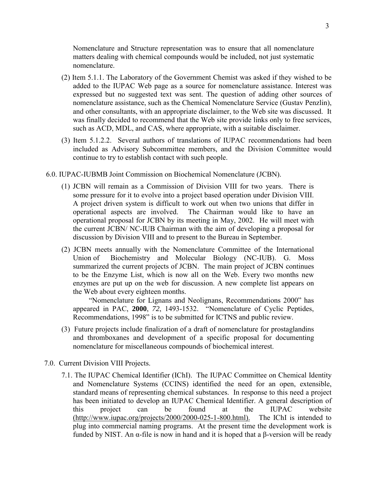Nomenclature and Structure representation was to ensure that all nomenclature matters dealing with chemical compounds would be included, not just systematic nomenclature.

- (2) Item 5.1.1. The Laboratory of the Government Chemist was asked if they wished to be added to the IUPAC Web page as a source for nomenclature assistance. Interest was expressed but no suggested text was sent. The question of adding other sources of nomenclature assistance, such as the Chemical Nomenclature Service (Gustav Penzlin), and other consultants, with an appropriate disclaimer, to the Web site was discussed. It was finally decided to recommend that the Web site provide links only to free services, such as ACD, MDL, and CAS, where appropriate, with a suitable disclaimer.
- (3) Item 5.1.2.2. Several authors of translations of IUPAC recommendations had been included as Advisory Subcommittee members, and the Division Committee would continue to try to establish contact with such people.
- 6.0. IUPAC-IUBMB Joint Commission on Biochemical Nomenclature (JCBN).
	- (1) JCBN will remain as a Commission of Division VIII for two years. There is some pressure for it to evolve into a project based operation under Division VIII. A project driven system is difficult to work out when two unions that differ in operational aspects are involved. The Chairman would like to have an operational proposal for JCBN by its meeting in May, 2002. He will meet with the current JCBN/ NC-IUB Chairman with the aim of developing a proposal for discussion by Division VIII and to present to the Bureau in September.
	- (2) JCBN meets annually with the Nomenclature Committee of the International Union of Biochemistry and Molecular Biology (NC-IUB). G. Moss summarized the current projects of JCBN. The main project of JCBN continues to be the Enzyme List, which is now all on the Web. Every two months new enzymes are put up on the web for discussion. A new complete list appears on the Web about every eighteen months.

"Nomenclature for Lignans and Neolignans, Recommendations 2000" has appeared in PAC, 2000, 72, 1493-1532. "Nomenclature of Cyclic Peptides, Recommendations, 1998" is to be submitted for ICTNS and public review.

- (3) Future projects include finalization of a draft of nomenclature for prostaglandins and thromboxanes and development of a specific proposal for documenting nomenclature for miscellaneous compounds of biochemical interest.
- 7.0. Current Division VIII Projects.
	- 7.1. The IUPAC Chemical Identifier (IChI). The IUPAC Committee on Chemical Identity and Nomenclature Systems (CCINS) identified the need for an open, extensible, standard means of representing chemical substances. In response to this need a project has been initiated to develop an IUPAC Chemical Identifier. A general description of this project can be found at the IUPAC website (http://www.iupac.org/projects/2000/2000-025-1-800.html). The IChI is intended to plug into commercial naming programs. At the present time the development work is funded by NIST. An α-file is now in hand and it is hoped that a β-version will be ready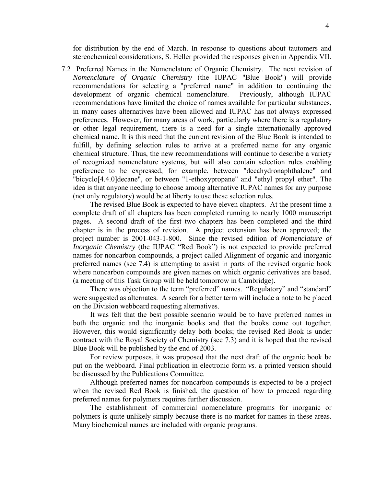for distribution by the end of March. In response to questions about tautomers and stereochemical considerations, S. Heller provided the responses given in Appendix VII.

7.2 Preferred Names in the Nomenclature of Organic Chemistry. The next revision of *Nomenclature of Organic Chemistry* (the IUPAC "Blue Book") will provide recommendations for selecting a "preferred name" in addition to continuing the development of organic chemical nomenclature. Previously, although IUPAC recommendations have limited the choice of names available for particular substances, in many cases alternatives have been allowed and IUPAC has not always expressed preferences. However, for many areas of work, particularly where there is a regulatory or other legal requirement, there is a need for a single internationally approved chemical name. It is this need that the current revision of the Blue Book is intended to fulfill, by defining selection rules to arrive at a preferred name for any organic chemical structure. Thus, the new recommendations will continue to describe a variety of recognized nomenclature systems, but will also contain selection rules enabling preference to be expressed, for example, between "decahydronaphthalene" and "bicyclo[4.4.0]decane", or between "1-ethoxypropane" and "ethyl propyl ether". The idea is that anyone needing to choose among alternative IUPAC names for any purpose (not only regulatory) would be at liberty to use these selection rules.

 The revised Blue Book is expected to have eleven chapters. At the present time a complete draft of all chapters has been completed running to nearly 1000 manuscript pages. A second draft of the first two chapters has been completed and the third chapter is in the process of revision. A project extension has been approved; the project number is 2001-043-1-800. Since the revised edition of *Nomenclature of Inorganic Chemistry* (the IUPAC "Red Book") is not expected to provide preferred names for noncarbon compounds, a project called Alignment of organic and inorganic preferred names (see 7.4) is attempting to assist in parts of the revised organic book where noncarbon compounds are given names on which organic derivatives are based. (a meeting of this Task Group will be held tomorrow in Cambridge).

There was objection to the term "preferred" names. "Regulatory" and "standard" were suggested as alternates. A search for a better term will include a note to be placed on the Division webboard requesting alternatives.

It was felt that the best possible scenario would be to have preferred names in both the organic and the inorganic books and that the books come out together. However, this would significantly delay both books; the revised Red Book is under contract with the Royal Society of Chemistry (see 7.3) and it is hoped that the revised Blue Book will be published by the end of 2003.

For review purposes, it was proposed that the next draft of the organic book be put on the webboard. Final publication in electronic form *vs.* a printed version should be discussed by the Publications Committee.

Although preferred names for noncarbon compounds is expected to be a project when the revised Red Book is finished, the question of how to proceed regarding preferred names for polymers requires further discussion.

The establishment of commercial nomenclature programs for inorganic or polymers is quite unlikely simply because there is no market for names in these areas. Many biochemical names are included with organic programs.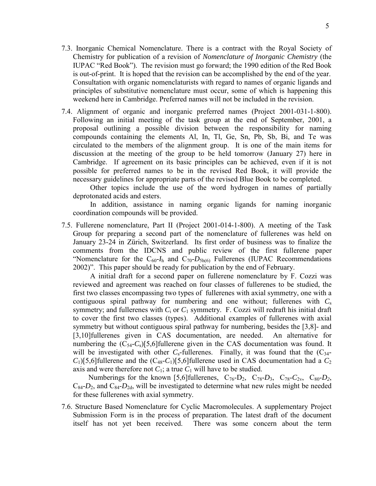- 7.3. Inorganic Chemical Nomenclature. There is a contract with the Royal Society of Chemistry for publication of a revision of *Nomenclature of Inorganic Chemistry* (the IUPAC "Red Book"). The revision must go forward; the 1990 edition of the Red Book is out-of-print. It is hoped that the revision can be accomplished by the end of the year. Consultation with organic nomenclaturists with regard to names of organic ligands and principles of substitutive nomenclature must occur, some of which is happening this weekend here in Cambridge. Preferred names will not be included in the revision.
- 7.4. Alignment of organic and inorganic preferred names (Project 2001-031-1-800). Following an initial meeting of the task group at the end of September, 2001, a proposal outlining a possible division between the responsibility for naming compounds containing the elements Al, In, Tl, Ge, Sn, Pb, Sb, Bi, and Te was circulated to the members of the alignment group. It is one of the main items for discussion at the meeting of the group to be held tomorrow (January 27) here in Cambridge. If agreement on its basic principles can be achieved, even if it is not possible for preferred names to be in the revised Red Book, it will provide the necessary guidelines for appropriate parts of the revised Blue Book to be completed.

Other topics include the use of the word hydrogen in names of partially deprotonated acids and esters.

In addition, assistance in naming organic ligands for naming inorganic coordination compounds will be provided.

7.5. Fullerene nomenclature, Part II (Project 2001-014-1-800). A meeting of the Task Group for preparing a second part of the nomenclature of fullerenes was held on January 23-24 in Zürich, Switzerland. Its first order of business was to finalize the comments from the IDCNS and public review of the first fullerene paper <sup>"</sup>Nomenclature for the  $C_{60}$ - $I_h$  and  $C_{70}$ - $D_{5h(6)}$  Fullerenes (IUPAC Recommendations 2002)". This paper should be ready for publication by the end of February.

A initial draft for a second paper on fullerene nomenclature by F. Cozzi was reviewed and agreement was reached on four classes of fullerenes to be studied, the first two classes encompassing two types of fullerenes with axial symmetry, one with a contiguous spiral pathway for numbering and one without; fullerenes with *C*<sup>s</sup> symmetry; and fullerenes with  $C_1$  or  $C_1$  symmetry. F. Cozzi will redraft his initial draft to cover the first two classes (types). Additional examples of fullerenes with axial symmetry but without contiguous spiral pathway for numbering, besides the [3,8]- and [3,10]fullerenes given in CAS documentation, are needed. An alternative for numbering the  $(C_{54} - C_8)[5,6]$  fullerene given in the CAS documentation was found. It will be investigated with other  $C_s$ -fullerenes. Finally, it was found that the  $(C_{34}$ - $C_1$ [5,6]fullerene and the  $(C_{48}$ - $C_1$ ][5,6]fullerene used in CAS documentation had a  $C_2$ axis and were therefore not  $C_1$ ; a true  $C_1$  will have to be studied.

Numberings for the known [5,6]fullerenes,  $C_{76}$ -D<sub>2</sub>,  $C_{78}$ -D<sub>3</sub>,  $C_{78}$ -C<sub>2v</sub>,  $C_{80}$ -D<sub>2</sub>,  $C_{84}$ - $D_2$ , and  $C_{84}$ - $D_{2d}$ , will be investigated to determine what new rules might be needed for these fullerenes with axial symmetry.

7.6. Structure Based Nomenclature for Cyclic Macromolecules. A supplementary Project Submission Form is in the process of preparation. The latest draft of the document itself has not yet been received. There was some concern about the term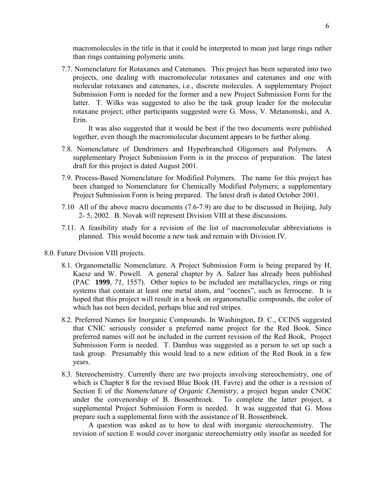macromolecules in the title in that it could be interpreted to mean just large rings rather than rings containing polymeric units.

7.7. Nomenclature for Rotaxanes and Catenanes. This project has been separated into two projects, one dealing with macromolecular rotaxanes and catenanes and one with molecular rotaxanes and catenanes, i.e., discrete molecules. A supplementary Project Submission Form is needed for the former and a new Project Submission Form for the latter. T. Wilks was suggested to also be the task group leader for the molecular rotaxane project; other participants suggested were G. Moss, V. Metanomski, and A. Erin.

It was also suggested that it would be best if the two documents were published together, even though the macromolecular document appears to be further along.

- 7.8. Nomenclature of Dendrimers and Hyperbranched Oligomers and Polymers. A supplementary Project Submission Form is in the process of preparation. The latest draft for this project is dated August 2001.
- 7.9. Process-Based Nomenclature for Modified Polymers. The name for this project has been changed to Nomenclature for Chemically Modified Polymers; a supplementary Project Submission Form is being prepared. The latest draft is dated October 2001.
- 7.10 All of the above macro documents (7.6-7.9) are due to be discussed in Beijing, July 2- 5, 2002. B. Novak will represent Division VIII at these discussions.
- 7.11. A feasibility study for a revision of the list of macromolecular abbreviations is planned. This would become a new task and remain with Division IV.
- 8.0. Future Division VIII projects.
	- 8.1. Organometallic Nomenclature. A Project Submission Form is being prepared by H. Kaesz and W. Powell. A general chapter by A. Salzer has already been published (PAC **1999**, *71*, 1557). Other topics to be included are metallacycles, rings or ring systems that contain at least one metal atom, and "ocenes", such as ferrocene. It is hoped that this project will result in a book on organometallic compounds, the color of which has not been decided, perhaps blue and red stripes.
	- 8.2. Preferred Names for Inorganic Compounds. In Washington, D. C., CCINS suggested that CNIC seriously consider a preferred name project for the Red Book. Since preferred names will not be included in the current revision of the Red Book, Project Submission Form is needed. T. Damhus was suggested as a person to set up such a task group. Presumably this would lead to a new edition of the Red Book in a few years.
	- 8.3. Stereochemistry. Currently there are two projects involving stereochemistry, one of which is Chapter 8 for the revised Blue Book (H. Favre) and the other is a revision of Section E of the *Nomenclature of Organic Chemistry*, a project begun under CNOC under the convenorship of B. Bossenbroek. To complete the latter project, a supplemental Project Submission Form is needed. It was suggested that G. Moss prepare such a supplemental form with the assistance of B. Bossenbroek.

A question was asked as to how to deal with inorganic stereochemistry. The revision of section E would cover inorganic stereochemistry only insofar as needed for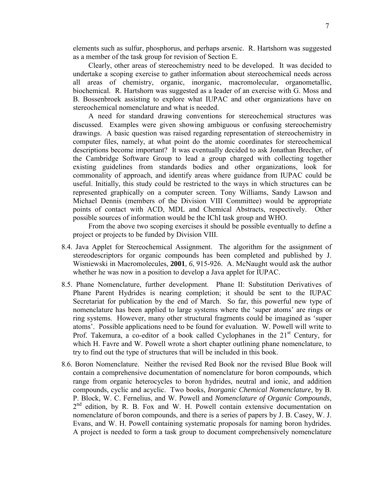elements such as sulfur, phosphorus, and perhaps arsenic. R. Hartshorn was suggested as a member of the task group for revision of Section E.

Clearly, other areas of stereochemistry need to be developed. It was decided to undertake a scoping exercise to gather information about stereochemical needs across all areas of chemistry, organic, inorganic, macromolecular, organometallic, biochemical. R. Hartshorn was suggested as a leader of an exercise with G. Moss and B. Bossenbroek assisting to explore what IUPAC and other organizations have on stereochemical nomenclature and what is needed.

A need for standard drawing conventions for stereochemical structures was discussed. Examples were given showing ambiguous or confusing stereochemistry drawings. A basic question was raised regarding representation of stereochemistry in computer files, namely, at what point do the atomic coordinates for stereochemical descriptions become important? It was eventually decided to ask Jonathan Brecher, of the Cambridge Software Group to lead a group charged with collecting together existing guidelines from standards bodies and other organizations, look for commonality of approach, and identify areas where guidance from IUPAC could be useful. Initially, this study could be restricted to the ways in which structures can be represented graphically on a computer screen. Tony Williams, Sandy Lawson and Michael Dennis (members of the Division VIII Committee) would be appropriate points of contact with ACD, MDL and Chemical Abstracts, respectively. Other possible sources of information would be the IChI task group and WHO.

From the above two scoping exercises it should be possible eventually to define a project or projects to be funded by Division VIII.

- 8.4. Java Applet for Stereochemical Assignment. The algorithm for the assignment of stereodescriptors for organic compounds has been completed and published by J. Wisniewski in Macromolecules, **2001**, *6*, 915-926. A. McNaught would ask the author whether he was now in a position to develop a Java applet for IUPAC.
- 8.5. Phane Nomenclature, further development. Phane II: Substitution Derivatives of Phane Parent Hydrides is nearing completion; it should be sent to the IUPAC Secretariat for publication by the end of March. So far, this powerful new type of nomenclature has been applied to large systems where the 'super atoms' are rings or ring systems. However, many other structural fragments could be imagined as ësuper atoms'. Possible applications need to be found for evaluation. W. Powell will write to Prof. Takemura, a co-editor of a book called Cyclophanes in the  $21<sup>st</sup>$  Century, for which H. Favre and W. Powell wrote a short chapter outlining phane nomenclature, to try to find out the type of structures that will be included in this book.
- 8.6. Boron Nomenclature. Neither the revised Red Book nor the revised Blue Book will contain a comprehensive documentation of nomenclature for boron compounds, which range from organic heterocycles to boron hydrides, neutral and ionic, and addition compounds, cyclic and acyclic. Two books, *Inorganic Chemical Nomenclature*, by B. P. Block, W. C. Fernelius, and W. Powell and *Nomenclature of Organic Compounds*, 2<sup>nd</sup> edition, by R. B. Fox and W. H. Powell contain extensive documentation on nomenclature of boron compounds, and there is a series of papers by J. B. Casey, W. J. Evans, and W. H. Powell containing systematic proposals for naming boron hydrides. A project is needed to form a task group to document comprehensively nomenclature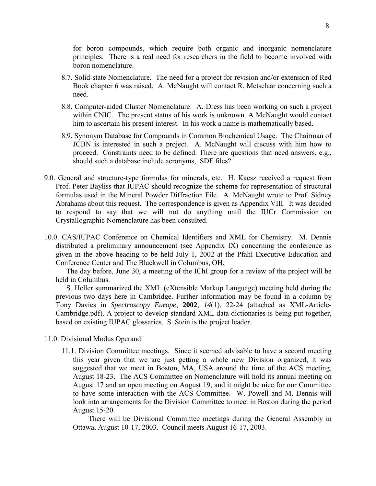for boron compounds, which require both organic and inorganic nomenclature principles. There is a real need for researchers in the field to become involved with boron nomenclature.

- 8.7. Solid-state Nomenclature. The need for a project for revision and/or extension of Red Book chapter 6 was raised. A. McNaught will contact R. Metselaar concerning such a need.
- 8.8. Computer-aided Cluster Nomenclature. A. Dress has been working on such a project within CNIC. The present status of his work is unknown. A McNaught would contact him to ascertain his present interest. In his work a name is mathematically based.
- 8.9. Synonym Database for Compounds in Common Biochemical Usage. The Chairman of JCBN is interested in such a project. A. McNaught will discuss with him how to proceed. Constraints need to be defined. There are questions that need answers, e.g., should such a database include acronyms, SDF files?
- 9.0. General and structure-type formulas for minerals, etc. H. Kaesz received a request from Prof. Peter Bayliss that IUPAC should recognize the scheme for representation of structural formulas used in the Mineral Powder Diffraction File. A. McNaught wrote to Prof. Sidney Abrahams about this request. The correspondence is given as Appendix VIII. It was decided to respond to say that we will not do anything until the IUCr Commission on Crystallographic Nomenclature has been consulted.
- 10.0. CAS/IUPAC Conference on Chemical Identifiers and XML for Chemistry. M. Dennis distributed a preliminary announcement (see Appendix IX) concerning the conference as given in the above heading to be held July 1, 2002 at the Pfahl Executive Education and Conference Center and The Blackwell in Columbus, OH.

The day before, June 30, a meeting of the IChI group for a review of the project will be held in Columbus.

S. Heller summarized the XML (eXtensible Markup Language) meeting held during the previous two days here in Cambridge. Further information may be found in a column by Tony Davies in *Spectroscopy Europe*, **2002**, *14*(1), 22-24 (attached as XML-Article-Cambridge.pdf). A project to develop standard XML data dictionaries is being put together, based on existing IUPAC glossaries. S. Stein is the project leader.

- 11.0. Divisional Modus Operandi
	- 11.1. Division Committee meetings. Since it seemed advisable to have a second meeting this year given that we are just getting a whole new Division organized, it was suggested that we meet in Boston, MA, USA around the time of the ACS meeting, August 18-23. The ACS Committee on Nomenclature will hold its annual meeting on August 17 and an open meeting on August 19, and it might be nice for our Committee to have some interaction with the ACS Committee. W. Powell and M. Dennis will look into arrangements for the Division Committee to meet in Boston during the period August 15-20.

There will be Divisional Committee meetings during the General Assembly in Ottawa, August 10-17, 2003. Council meets August 16-17, 2003.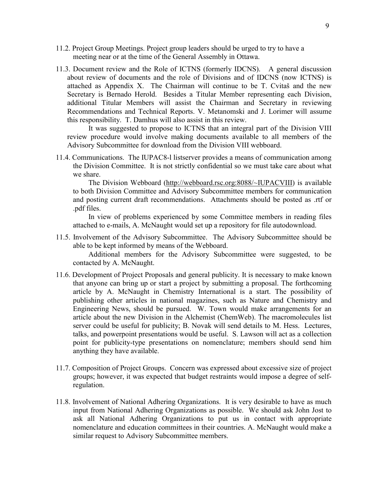- 11.2. Project Group Meetings. Project group leaders should be urged to try to have a meeting near or at the time of the General Assembly in Ottawa.
- 11.3. Document review and the Role of ICTNS (formerly IDCNS). A general discussion about review of documents and the role of Divisions and of IDCNS (now ICTNS) is attached as Appendix X. The Chairman will continue to be T. Cvitaö and the new Secretary is Bernado Herold. Besides a Titular Member representing each Division, additional Titular Members will assist the Chairman and Secretary in reviewing Recommendations and Technical Reports. V. Metanomski and J. Lorimer will assume this responsibility. T. Damhus will also assist in this review.

It was suggested to propose to ICTNS that an integral part of the Division VIII review procedure would involve making documents available to all members of the Advisory Subcommittee for download from the Division VIII webboard.

11.4. Communications. The IUPAC8-l listserver provides a means of communication among the Division Committee. It is not strictly confidential so we must take care about what we share.

The Division Webboard ([http://webboard.rsc.org:8088/~IUPACVIII\)](http://webboard.rsc.org:8088/~IUPACVIII) is available to both Division Committee and Advisory Subcommittee members for communication and posting current draft recommendations. Attachments should be posted as .rtf or .pdf files.

In view of problems experienced by some Committee members in reading files attached to e-mails, A. McNaught would set up a repository for file autodownload.

11.5. Involvement of the Advisory Subcommittee. The Advisory Subcommittee should be able to be kept informed by means of the Webboard.

Additional members for the Advisory Subcommittee were suggested, to be contacted by A. McNaught.

- 11.6. Development of Project Proposals and general publicity. It is necessary to make known that anyone can bring up or start a project by submitting a proposal. The forthcoming article by A. McNaught in Chemistry International is a start. The possibility of publishing other articles in national magazines, such as Nature and Chemistry and Engineering News, should be pursued. W. Town would make arrangements for an article about the new Division in the Alchemist (ChemWeb). The macromolecules list server could be useful for publicity; B. Novak will send details to M. Hess. Lectures, talks, and powerpoint presentations would be useful. S. Lawson will act as a collection point for publicity-type presentations on nomenclature; members should send him anything they have available.
- 11.7. Composition of Project Groups. Concern was expressed about excessive size of project groups; however, it was expected that budget restraints would impose a degree of selfregulation.
- 11.8. Involvement of National Adhering Organizations. It is very desirable to have as much input from National Adhering Organizations as possible. We should ask John Jost to ask all National Adhering Organizations to put us in contact with appropriate nomenclature and education committees in their countries. A. McNaught would make a similar request to Advisory Subcommittee members.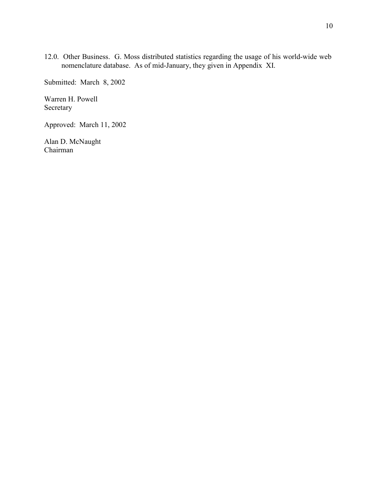12.0. Other Business. G. Moss distributed statistics regarding the usage of his world-wide web nomenclature database. As of mid-January, they given in Appendix XI.

Submitted: March 8, 2002

Warren H. Powell Secretary

Approved: March 11, 2002

Alan D. McNaught Chairman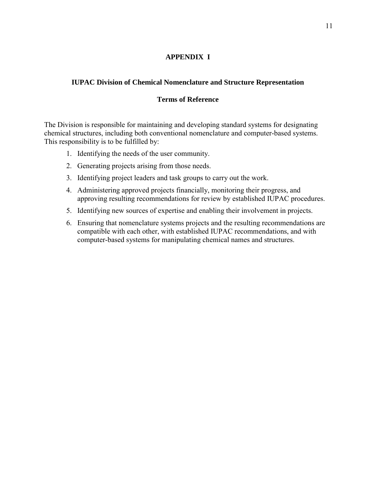# **APPENDIX I**

# **IUPAC Division of Chemical Nomenclature and Structure Representation**

## **Terms of Reference**

The Division is responsible for maintaining and developing standard systems for designating chemical structures, including both conventional nomenclature and computer-based systems. This responsibility is to be fulfilled by:

- 1. Identifying the needs of the user community.
- 2. Generating projects arising from those needs.
- 3. Identifying project leaders and task groups to carry out the work.
- 4. Administering approved projects financially, monitoring their progress, and approving resulting recommendations for review by established IUPAC procedures.
- 5. Identifying new sources of expertise and enabling their involvement in projects.
- 6. Ensuring that nomenclature systems projects and the resulting recommendations are compatible with each other, with established IUPAC recommendations, and with computer-based systems for manipulating chemical names and structures.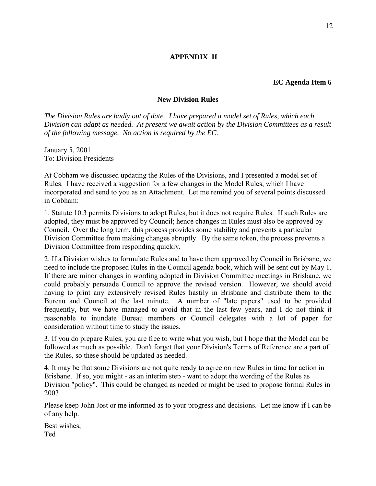#### **EC Agenda Item 6**

#### **New Division Rules**

*The Division Rules are badly out of date. I have prepared a model set of Rules, which each Division can adapt as needed. At present we await action by the Division Committees as a result of the following message. No action is required by the EC.*

January 5, 2001 To: Division Presidents

At Cobham we discussed updating the Rules of the Divisions, and I presented a model set of Rules. I have received a suggestion for a few changes in the Model Rules, which I have incorporated and send to you as an Attachment. Let me remind you of several points discussed in Cobham:

1. Statute 10.3 permits Divisions to adopt Rules, but it does not require Rules. If such Rules are adopted, they must be approved by Council; hence changes in Rules must also be approved by Council. Over the long term, this process provides some stability and prevents a particular Division Committee from making changes abruptly. By the same token, the process prevents a Division Committee from responding quickly.

2. If a Division wishes to formulate Rules and to have them approved by Council in Brisbane, we need to include the proposed Rules in the Council agenda book, which will be sent out by May 1. If there are minor changes in wording adopted in Division Committee meetings in Brisbane, we could probably persuade Council to approve the revised version. However, we should avoid having to print any extensively revised Rules hastily in Brisbane and distribute them to the Bureau and Council at the last minute. A number of "late papers" used to be provided frequently, but we have managed to avoid that in the last few years, and I do not think it reasonable to inundate Bureau members or Council delegates with a lot of paper for consideration without time to study the issues.

3. If you do prepare Rules, you are free to write what you wish, but I hope that the Model can be followed as much as possible. Don't forget that your Division's Terms of Reference are a part of the Rules, so these should be updated as needed.

4. It may be that some Divisions are not quite ready to agree on new Rules in time for action in Brisbane. If so, you might - as an interim step - want to adopt the wording of the Rules as Division "policy". This could be changed as needed or might be used to propose formal Rules in 2003.

Please keep John Jost or me informed as to your progress and decisions. Let me know if I can be of any help.

Best wishes, Ted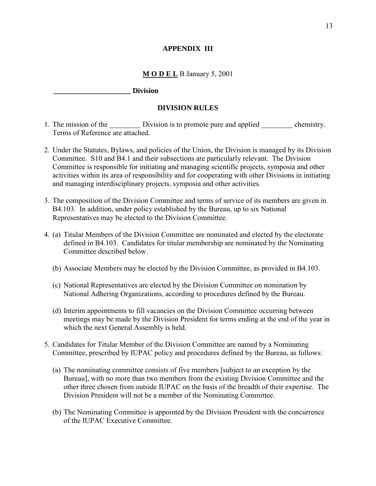## **APPENDIX III**

## **M O D E L** B January 5, 2001

### **\_\_\_\_\_\_\_\_\_\_\_\_\_\_\_\_\_\_\_\_\_ Division**

#### **DIVISION RULES**

- 1. The mission of the Division is to promote pure and applied elemistry. Terms of Reference are attached.
- 2. Under the Statutes, Bylaws, and policies of the Union, the Division is managed by its Division Committee. S10 and B4.1 and their subsections are particularly relevant. The Division Committee is responsible for initiating and managing scientific projects, symposia and other activities within its area of responsibility and for cooperating with other Divisions in initiating and managing interdisciplinary projects, symposia and other activities.
- 3. The composition of the Division Committee and terms of service of its members are given in B4.103. In addition, under policy established by the Bureau, up to six National Representatives may be elected to the Division Committee.
- 4. (a) Titular Members of the Division Committee are nominated and elected by the electorate defined in B4.103. Candidates for titular membership are nominated by the Nominating Committee described below.
	- (b) Associate Members may be elected by the Division Committee, as provided in B4.103.
	- (c) National Representatives are elected by the Division Committee on nomination by National Adhering Organizations, according to procedures defined by the Bureau.
	- (d) Interim appointments to fill vacancies on the Division Committee occurring between meetings may be made by the Division President for terms ending at the end of the year in which the next General Assembly is held.
- 5. Candidates for Titular Member of the Division Committee are named by a Nominating Committee, prescribed by IUPAC policy and procedures defined by the Bureau, as follows:
	- (a) The nominating committee consists of five members [subject to an exception by the Bureau], with no more than two members from the existing Division Committee and the other three chosen from outside IUPAC on the basis of the breadth of their expertise. The Division President will not be a member of the Nominating Committee.
	- (b) The Nominating Committee is appointed by the Division President with the concurrence of the IUPAC Executive Committee.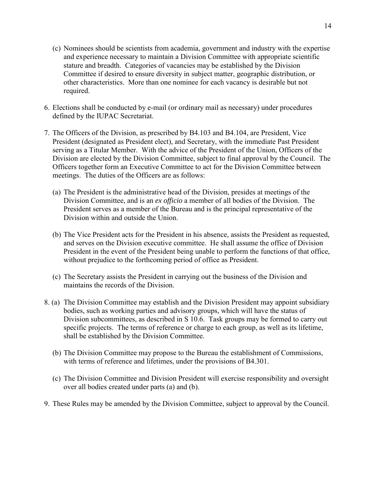- (c) Nominees should be scientists from academia, government and industry with the expertise and experience necessary to maintain a Division Committee with appropriate scientific stature and breadth. Categories of vacancies may be established by the Division Committee if desired to ensure diversity in subject matter, geographic distribution, or other characteristics. More than one nominee for each vacancy is desirable but not required.
- 6. Elections shall be conducted by e-mail (or ordinary mail as necessary) under procedures defined by the IUPAC Secretariat.
- 7. The Officers of the Division, as prescribed by B4.103 and B4.104, are President, Vice President (designated as President elect), and Secretary, with the immediate Past President serving as a Titular Member. With the advice of the President of the Union, Officers of the Division are elected by the Division Committee, subject to final approval by the Council. The Officers together form an Executive Committee to act for the Division Committee between meetings. The duties of the Officers are as follows:
	- (a) The President is the administrative head of the Division, presides at meetings of the Division Committee, and is an *ex officio* a member of all bodies of the Division. The President serves as a member of the Bureau and is the principal representative of the Division within and outside the Union.
	- (b) The Vice President acts for the President in his absence, assists the President as requested, and serves on the Division executive committee. He shall assume the office of Division President in the event of the President being unable to perform the functions of that office, without prejudice to the forthcoming period of office as President.
	- (c) The Secretary assists the President in carrying out the business of the Division and maintains the records of the Division.
- 8. (a) The Division Committee may establish and the Division President may appoint subsidiary bodies, such as working parties and advisory groups, which will have the status of Division subcommittees, as described in S 10.6. Task groups may be formed to carry out specific projects. The terms of reference or charge to each group, as well as its lifetime, shall be established by the Division Committee.
	- (b) The Division Committee may propose to the Bureau the establishment of Commissions, with terms of reference and lifetimes, under the provisions of B4.301.
	- (c) The Division Committee and Division President will exercise responsibility and oversight over all bodies created under parts (a) and (b).
- 9. These Rules may be amended by the Division Committee, subject to approval by the Council.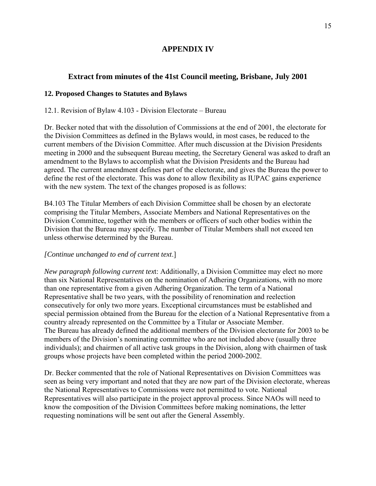# **APPENDIX IV**

# **Extract from minutes of the 41st Council meeting, Brisbane, July 2001**

### **12. Proposed Changes to Statutes and Bylaws**

### 12.1. Revision of Bylaw  $4.103$  - Division Electorate – Bureau

Dr. Becker noted that with the dissolution of Commissions at the end of 2001, the electorate for the Division Committees as defined in the Bylaws would, in most cases, be reduced to the current members of the Division Committee. After much discussion at the Division Presidents meeting in 2000 and the subsequent Bureau meeting, the Secretary General was asked to draft an amendment to the Bylaws to accomplish what the Division Presidents and the Bureau had agreed. The current amendment defines part of the electorate, and gives the Bureau the power to define the rest of the electorate. This was done to allow flexibility as IUPAC gains experience with the new system. The text of the changes proposed is as follows:

B4.103 The Titular Members of each Division Committee shall be chosen by an electorate comprising the Titular Members, Associate Members and National Representatives on the Division Committee, together with the members or officers of such other bodies within the Division that the Bureau may specify. The number of Titular Members shall not exceed ten unless otherwise determined by the Bureau.

# *[Continue unchanged to end of current text*.]

*New paragraph following current tex*t: Additionally, a Division Committee may elect no more than six National Representatives on the nomination of Adhering Organizations, with no more than one representative from a given Adhering Organization. The term of a National Representative shall be two years, with the possibility of renomination and reelection consecutively for only two more years. Exceptional circumstances must be established and special permission obtained from the Bureau for the election of a National Representative from a country already represented on the Committee by a Titular or Associate Member. The Bureau has already defined the additional members of the Division electorate for 2003 to be members of the Division's nominating committee who are not included above (usually three individuals); and chairmen of all active task groups in the Division, along with chairmen of task groups whose projects have been completed within the period 2000-2002.

Dr. Becker commented that the role of National Representatives on Division Committees was seen as being very important and noted that they are now part of the Division electorate, whereas the National Representatives to Commissions were not permitted to vote. National Representatives will also participate in the project approval process. Since NAOs will need to know the composition of the Division Committees before making nominations, the letter requesting nominations will be sent out after the General Assembly.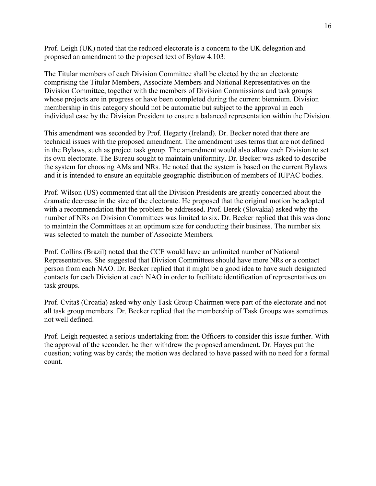Prof. Leigh (UK) noted that the reduced electorate is a concern to the UK delegation and proposed an amendment to the proposed text of Bylaw 4.103:

The Titular members of each Division Committee shall be elected by the an electorate comprising the Titular Members, Associate Members and National Representatives on the Division Committee, together with the members of Division Commissions and task groups whose projects are in progress or have been completed during the current biennium. Division membership in this category should not be automatic but subject to the approval in each individual case by the Division President to ensure a balanced representation within the Division.

This amendment was seconded by Prof. Hegarty (Ireland). Dr. Becker noted that there are technical issues with the proposed amendment. The amendment uses terms that are not defined in the Bylaws, such as project task group. The amendment would also allow each Division to set its own electorate. The Bureau sought to maintain uniformity. Dr. Becker was asked to describe the system for choosing AMs and NRs. He noted that the system is based on the current Bylaws and it is intended to ensure an equitable geographic distribution of members of IUPAC bodies.

Prof. Wilson (US) commented that all the Division Presidents are greatly concerned about the dramatic decrease in the size of the electorate. He proposed that the original motion be adopted with a recommendation that the problem be addressed. Prof. Berek (Slovakia) asked why the number of NRs on Division Committees was limited to six. Dr. Becker replied that this was done to maintain the Committees at an optimum size for conducting their business. The number six was selected to match the number of Associate Members.

Prof. Collins (Brazil) noted that the CCE would have an unlimited number of National Representatives. She suggested that Division Committees should have more NRs or a contact person from each NAO. Dr. Becker replied that it might be a good idea to have such designated contacts for each Division at each NAO in order to facilitate identification of representatives on task groups.

Prof. Cvitaö (Croatia) asked why only Task Group Chairmen were part of the electorate and not all task group members. Dr. Becker replied that the membership of Task Groups was sometimes not well defined.

Prof. Leigh requested a serious undertaking from the Officers to consider this issue further. With the approval of the seconder, he then withdrew the proposed amendment. Dr. Hayes put the question; voting was by cards; the motion was declared to have passed with no need for a formal count.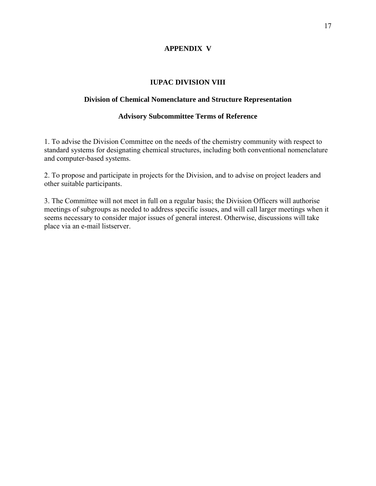# **APPENDIX V**

# **IUPAC DIVISION VIII**

### **Division of Chemical Nomenclature and Structure Representation**

### **Advisory Subcommittee Terms of Reference**

1. To advise the Division Committee on the needs of the chemistry community with respect to standard systems for designating chemical structures, including both conventional nomenclature and computer-based systems.

2. To propose and participate in projects for the Division, and to advise on project leaders and other suitable participants.

3. The Committee will not meet in full on a regular basis; the Division Officers will authorise meetings of subgroups as needed to address specific issues, and will call larger meetings when it seems necessary to consider major issues of general interest. Otherwise, discussions will take place via an e-mail listserver.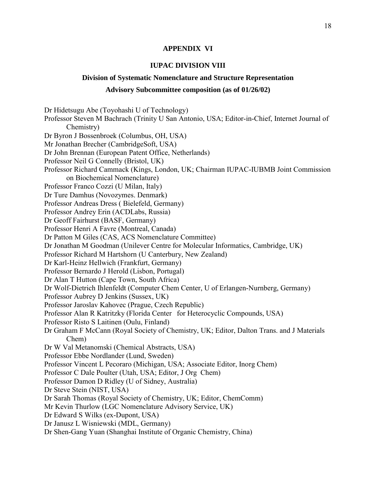#### **APPENDIX VI**

#### **IUPAC DIVISION VIII**

#### **Division of Systematic Nomenclature and Structure Representation**

#### **Advisory Subcommittee composition (as of 01/26/02)**

Dr Hidetsugu Abe (Toyohashi U of Technology) Professor Steven M Bachrach (Trinity U San Antonio, USA; Editor-in-Chief, Internet Journal of Chemistry) Dr Byron J Bossenbroek (Columbus, OH, USA) Mr Jonathan Brecher (CambridgeSoft, USA) Dr John Brennan (European Patent Office, Netherlands) Professor Neil G Connelly (Bristol, UK) Professor Richard Cammack (Kings, London, UK; Chairman IUPAC-IUBMB Joint Commission on Biochemical Nomenclature) Professor Franco Cozzi (U Milan, Italy) Dr Ture Damhus (Novozymes. Denmark) Professor Andreas Dress ( Bielefeld, Germany) Professor Andrey Erin (ACDLabs, Russia) Dr Geoff Fairhurst (BASF, Germany) Professor Henri A Favre (Montreal, Canada) Dr Patton M Giles (CAS, ACS Nomenclature Committee) Dr Jonathan M Goodman (Unilever Centre for Molecular Informatics, Cambridge, UK) Professor Richard M Hartshorn (U Canterbury, New Zealand) Dr Karl-Heinz Hellwich (Frankfurt, Germany) Professor Bernardo J Herold (Lisbon, Portugal) Dr Alan T Hutton (Cape Town, South Africa) Dr Wolf-Dietrich Ihlenfeldt (Computer Chem Center, U of Erlangen-Nurnberg, Germany) Professor Aubrey D Jenkins (Sussex, UK) Professor Jaroslav Kahovec (Prague, Czech Republic) Professor Alan R Katritzky (Florida Center for Heterocyclic Compounds, USA) Professor Risto S Laitinen (Oulu, Finland) Dr Graham F McCann (Royal Society of Chemistry, UK; Editor, Dalton Trans. and J Materials Chem) Dr W Val Metanomski (Chemical Abstracts, USA) Professor Ebbe Nordlander (Lund, Sweden) Professor Vincent L Pecoraro (Michigan, USA; Associate Editor, Inorg Chem) Professor C Dale Poulter (Utah, USA; Editor, J Org Chem) Professor Damon D Ridley (U of Sidney, Australia) Dr Steve Stein (NIST, USA) Dr Sarah Thomas (Royal Society of Chemistry, UK; Editor, ChemComm) Mr Kevin Thurlow (LGC Nomenclature Advisory Service, UK) Dr Edward S Wilks (ex-Dupont, USA) Dr Janusz L Wisniewski (MDL, Germany) Dr Shen-Gang Yuan (Shanghai Institute of Organic Chemistry, China)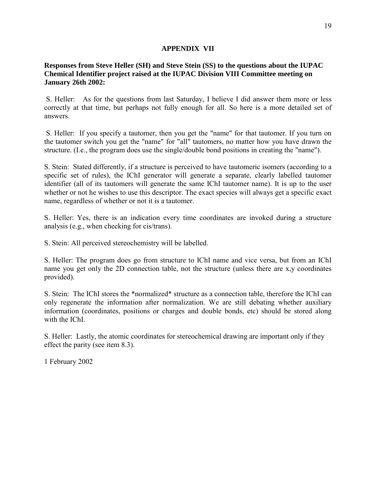### **APPENDIX VII**

### **Responses from Steve Heller (SH) and Steve Stein (SS) to the questions about the IUPAC Chemical Identifier project raised at the IUPAC Division VIII Committee meeting on January 26th 2002:**

 S. Heller: As for the questions from last Saturday, I believe I did answer them more or less correctly at that time, but perhaps not fully enough for all. So here is a more detailed set of answers.

 S. Heller: If you specify a tautomer, then you get the "name" for that tautomer. If you turn on the tautomer switch you get the "name" for "all" tautomers, no matter how you have drawn the structure. (I.e., the program does use the single/double bond positions in creating the "name").

S. Stein: Stated differently, if a structure is perceived to have tautomeric isomers (according to a specific set of rules), the IChI generator will generate a separate, clearly labelled tautomer identifier (all of its tautomers will generate the same IChI tautomer name). It is up to the user whether or not he wishes to use this descriptor. The exact species will always get a specific exact name, regardless of whether or not it is a tautomer.

S. Heller: Yes, there is an indication every time coordinates are invoked during a structure analysis (e.g., when checking for cis/trans).

S. Stein: All perceived stereochemistry will be labelled.

S. Heller: The program does go from structure to IChI name and vice versa, but from an IChI name you get only the 2D connection table, not the structure (unless there are x,y coordinates provided).

S. Stein: The IChI stores the \*normalized\* structure as a connection table, therefore the IChI can only regenerate the information after normalization. We are still debating whether auxiliary information (coordinates, positions or charges and double bonds, etc) should be stored along with the IChI.

S. Heller: Lastly, the atomic coordinates for stereochemical drawing are important only if they effect the parity (see item 8.3).

1 February 2002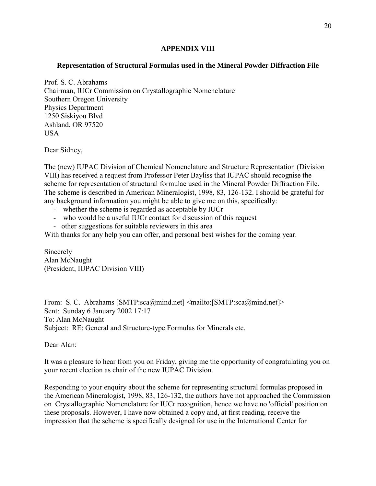### **APPENDIX VIII**

# **Representation of Structural Formulas used in the Mineral Powder Diffraction File**

Prof. S. C. Abrahams Chairman, IUCr Commission on Crystallographic Nomenclature Southern Oregon University Physics Department 1250 Siskiyou Blvd Ashland, OR 97520 **USA** 

Dear Sidney,

The (new) IUPAC Division of Chemical Nomenclature and Structure Representation (Division VIII) has received a request from Professor Peter Bayliss that IUPAC should recognise the scheme for representation of structural formulae used in the Mineral Powder Diffraction File. The scheme is described in American Mineralogist, 1998, 83, 126-132. I should be grateful for any background information you might be able to give me on this, specifically:

- whether the scheme is regarded as acceptable by IUCr
- who would be a useful IUCr contact for discussion of this request
- other suggestions for suitable reviewers in this area

With thanks for any help you can offer, and personal best wishes for the coming year.

Sincerely Alan McNaught (President, IUPAC Division VIII)

From: S. C. Abrahams [SMTP:sca@mind.net] <mailto:[SMTP:sca@mind.net]> Sent: Sunday 6 January 2002 17:17 To: Alan McNaught Subject: RE: General and Structure-type Formulas for Minerals etc.

Dear Alan:

It was a pleasure to hear from you on Friday, giving me the opportunity of congratulating you on your recent election as chair of the new IUPAC Division.

Responding to your enquiry about the scheme for representing structural formulas proposed in the American Mineralogist, 1998, 83, 126-132, the authors have not approached the Commission on Crystallographic Nomenclature for IUCr recognition, hence we have no 'official' position on these proposals. However, I have now obtained a copy and, at first reading, receive the impression that the scheme is specifically designed for use in the International Center for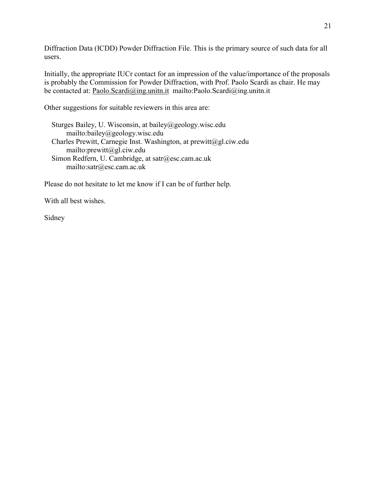Diffraction Data (ICDD) Powder Diffraction File. This is the primary source of such data for all users.

Initially, the appropriate IUCr contact for an impression of the value/importance of the proposals is probably the Commission for Powder Diffraction, with Prof. Paolo Scardi as chair. He may be contacted at: [Paolo.Scardi@ing.unitn.it](mailto:Paolo.Scardi@ing.unitn.it) mailto:Paolo.Scardi@ing.unitn.it

Other suggestions for suitable reviewers in this area are:

 Sturges Bailey, U. Wisconsin, at bailey@geology.wisc.edu mailto:bailey@geology.wisc.edu Charles Prewitt, Carnegie Inst. Washington, at prewitt@gl.ciw.edu mailto:prewitt@gl.ciw.edu Simon Redfern, U. Cambridge, at satr@esc.cam.ac.uk mailto:satr@esc.cam.ac.uk

Please do not hesitate to let me know if I can be of further help.

With all best wishes.

Sidney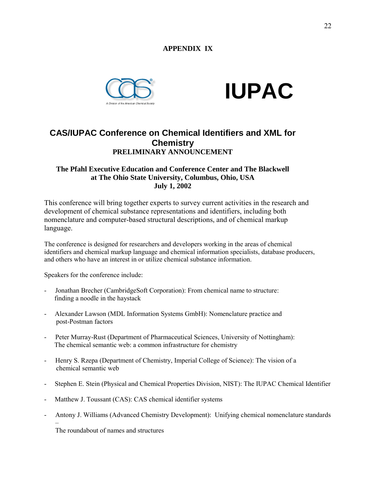# **APPENDIX IX**





# **CAS/IUPAC Conference on Chemical Identifiers and XML for Chemistry PRELIMINARY ANNOUNCEMENT**

### **The Pfahl Executive Education and Conference Center and The Blackwell at The Ohio State University, Columbus, Ohio, USA July 1, 2002**

This conference will bring together experts to survey current activities in the research and development of chemical substance representations and identifiers, including both nomenclature and computer-based structural descriptions, and of chemical markup language.

The conference is designed for researchers and developers working in the areas of chemical identifiers and chemical markup language and chemical information specialists, database producers, and others who have an interest in or utilize chemical substance information.

Speakers for the conference include:

- Jonathan Brecher (CambridgeSoft Corporation): From chemical name to structure: finding a noodle in the haystack
- Alexander Lawson (MDL Information Systems GmbH): Nomenclature practice and post-Postman factors
- Peter Murray-Rust (Department of Pharmaceutical Sciences, University of Nottingham): The chemical semantic web: a common infrastructure for chemistry
- Henry S. Rzepa (Department of Chemistry, Imperial College of Science): The vision of a chemical semantic web
- Stephen E. Stein (Physical and Chemical Properties Division, NIST): The IUPAC Chemical Identifier
- Matthew J. Toussant (CAS): CAS chemical identifier systems
- Antony J. Williams (Advanced Chemistry Development): Unifying chemical nomenclature standards

The roundabout of names and structures

ñ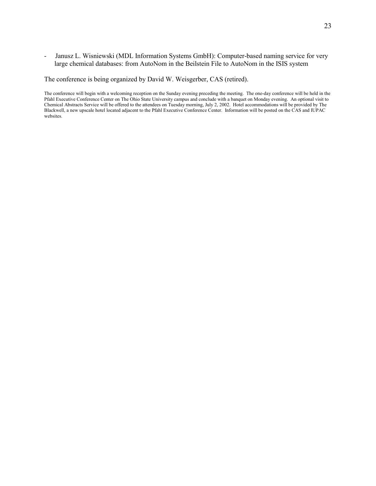- Janusz L. Wisniewski (MDL Information Systems GmbH): Computer-based naming service for very large chemical databases: from AutoNom in the Beilstein File to AutoNom in the ISIS system

The conference is being organized by David W. Weisgerber, CAS (retired).

The conference will begin with a welcoming reception on the Sunday evening preceding the meeting. The one-day conference will be held in the Pfahl Executive Conference Center on The Ohio State University campus and conclude with a banquet on Monday evening. An optional visit to Chemical Abstracts Service will be offered to the attendees on Tuesday morning, July 2, 2002. Hotel accommodations will be provided by The Blackwell, a new upscale hotel located adjacent to the Pfahl Executive Conference Center. Information will be posted on the CAS and IUPAC websites.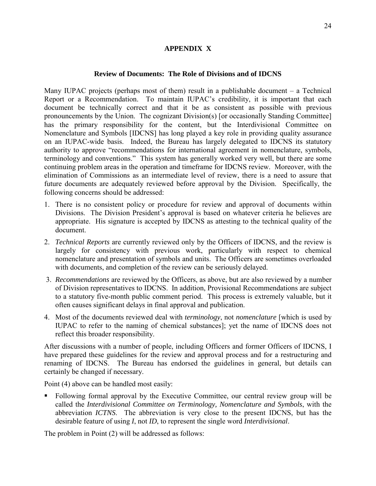### **APPENDIX X**

### **Review of Documents: The Role of Divisions and of IDCNS**

Many IUPAC projects (perhaps most of them) result in a publishable document  $-$  a Technical Report or a Recommendation. To maintain IUPAC's credibility, it is important that each document be technically correct and that it be as consistent as possible with previous pronouncements by the Union. The cognizant Division(s) [or occasionally Standing Committee] has the primary responsibility for the content, but the Interdivisional Committee on Nomenclature and Symbols [IDCNS] has long played a key role in providing quality assurance on an IUPAC-wide basis. Indeed, the Bureau has largely delegated to IDCNS its statutory authority to approve "recommendations for international agreement in nomenclature, symbols, terminology and conventions." This system has generally worked very well, but there are some continuing problem areas in the operation and timeframe for IDCNS review. Moreover, with the elimination of Commissions as an intermediate level of review, there is a need to assure that future documents are adequately reviewed before approval by the Division. Specifically, the following concerns should be addressed:

- 1. There is no consistent policy or procedure for review and approval of documents within Divisions. The Division President's approval is based on whatever criteria he believes are appropriate. His signature is accepted by IDCNS as attesting to the technical quality of the document.
- 2. *Technical Reports* are currently reviewed only by the Officers of IDCNS, and the review is largely for consistency with previous work, particularly with respect to chemical nomenclature and presentation of symbols and units. The Officers are sometimes overloaded with documents, and completion of the review can be seriously delayed.
- 3. *Recommendations* are reviewed by the Officers, as above, but are also reviewed by a number of Division representatives to IDCNS. In addition, Provisional Recommendations are subject to a statutory five-month public comment period. This process is extremely valuable, but it often causes significant delays in final approval and publication.
- 4. Most of the documents reviewed deal with *terminology*, not *nomenclature* [which is used by IUPAC to refer to the naming of chemical substances]; yet the name of IDCNS does not reflect this broader responsibility.

After discussions with a number of people, including Officers and former Officers of IDCNS, I have prepared these guidelines for the review and approval process and for a restructuring and renaming of IDCNS. The Bureau has endorsed the guidelines in general, but details can certainly be changed if necessary.

Point (4) above can be handled most easily:

 Following formal approval by the Executive Committee, our central review group will be called the *Interdivisional Committee on Terminology, Nomenclature and Symbols*, with the abbreviation *ICTNS*. The abbreviation is very close to the present IDCNS, but has the desirable feature of using *I*, not *ID*, to represent the single word *Interdivisional*.

The problem in Point (2) will be addressed as follows: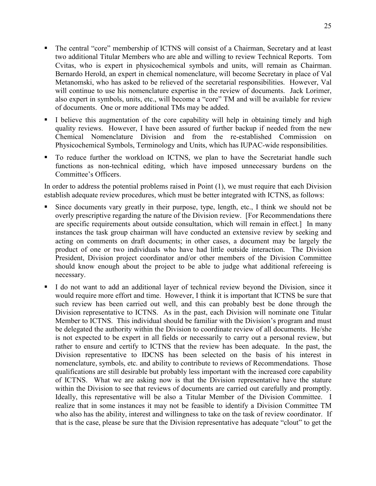- The central "core" membership of ICTNS will consist of a Chairman, Secretary and at least two additional Titular Members who are able and willing to review Technical Reports. Tom Cvitas, who is expert in physicochemical symbols and units, will remain as Chairman. Bernardo Herold, an expert in chemical nomenclature, will become Secretary in place of Val Metanomski, who has asked to be relieved of the secretarial responsibilities. However, Val will continue to use his nomenclature expertise in the review of documents. Jack Lorimer, also expert in symbols, units, etc., will become a "core" TM and will be available for review of documents. One or more additional TMs may be added.
- I believe this augmentation of the core capability will help in obtaining timely and high quality reviews. However, I have been assured of further backup if needed from the new Chemical Nomenclature Division and from the re-established Commission on Physicochemical Symbols, Terminology and Units, which has IUPAC-wide responsibilities.
- To reduce further the workload on ICTNS, we plan to have the Secretariat handle such functions as non-technical editing, which have imposed unnecessary burdens on the Committee's Officers.

In order to address the potential problems raised in Point (1), we must require that each Division establish adequate review procedures, which must be better integrated with ICTNS, as follows:

- Since documents vary greatly in their purpose, type, length, etc., I think we should not be overly prescriptive regarding the nature of the Division review. [For Recommendations there are specific requirements about outside consultation, which will remain in effect.] In many instances the task group chairman will have conducted an extensive review by seeking and acting on comments on draft documents; in other cases, a document may be largely the product of one or two individuals who have had little outside interaction. The Division President, Division project coordinator and/or other members of the Division Committee should know enough about the project to be able to judge what additional refereeing is necessary.
- I do not want to add an additional layer of technical review beyond the Division, since it would require more effort and time. However, I think it is important that ICTNS be sure that such review has been carried out well, and this can probably best be done through the Division representative to ICTNS. As in the past, each Division will nominate one Titular Member to ICTNS. This individual should be familiar with the Division's program and must be delegated the authority within the Division to coordinate review of all documents. He/she is not expected to be expert in all fields or necessarily to carry out a personal review, but rather to ensure and certify to ICTNS that the review has been adequate. In the past, the Division representative to IDCNS has been selected on the basis of his interest in nomenclature, symbols, etc. and ability to contribute to reviews of Recommendations. Those qualifications are still desirable but probably less important with the increased core capability of ICTNS. What we are asking now is that the Division representative have the stature within the Division to see that reviews of documents are carried out carefully and promptly. Ideally, this representative will be also a Titular Member of the Division Committee. I realize that in some instances it may not be feasible to identify a Division Committee TM who also has the ability, interest and willingness to take on the task of review coordinator. If that is the case, please be sure that the Division representative has adequate "clout" to get the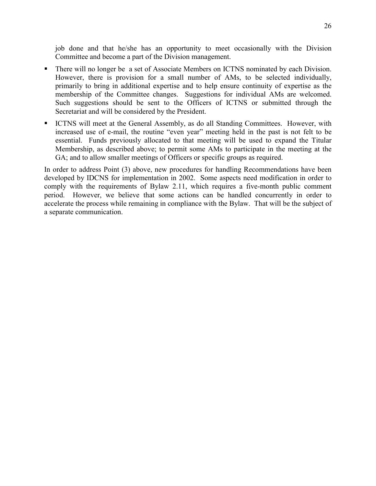job done and that he/she has an opportunity to meet occasionally with the Division Committee and become a part of the Division management.

- There will no longer be a set of Associate Members on ICTNS nominated by each Division. However, there is provision for a small number of AMs, to be selected individually, primarily to bring in additional expertise and to help ensure continuity of expertise as the membership of the Committee changes. Suggestions for individual AMs are welcomed. Such suggestions should be sent to the Officers of ICTNS or submitted through the Secretariat and will be considered by the President.
- ICTNS will meet at the General Assembly, as do all Standing Committees. However, with increased use of e-mail, the routine "even year" meeting held in the past is not felt to be essential. Funds previously allocated to that meeting will be used to expand the Titular Membership, as described above; to permit some AMs to participate in the meeting at the GA; and to allow smaller meetings of Officers or specific groups as required.

In order to address Point (3) above, new procedures for handling Recommendations have been developed by IDCNS for implementation in 2002. Some aspects need modification in order to comply with the requirements of Bylaw 2.11, which requires a five-month public comment period. However, we believe that some actions can be handled concurrently in order to accelerate the process while remaining in compliance with the Bylaw. That will be the subject of a separate communication.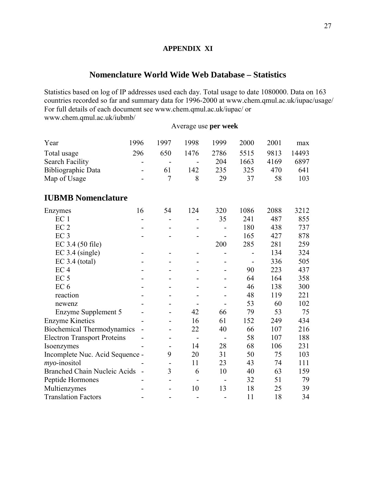# **APPENDIX XI**

# **Nomenclature World Wide Web Database – Statistics**

Statistics based on log of IP addresses used each day. Total usage to date 1080000. Data on 163 countries recorded so far and summary data for 1996-2000 at www.chem.qmul.ac.uk/iupac/usage/ For full details of each document see www.chem.qmul.ac.uk/iupac/ or www.chem.qmul.ac.uk/iubmb/

# Average use **per week**

| Year                                | 1996 | 1997                     | 1998                     | 1999                     | 2000 | 2001 | max   |
|-------------------------------------|------|--------------------------|--------------------------|--------------------------|------|------|-------|
| Total usage                         | 296  | 650                      | 1476                     | 2786                     | 5515 | 9813 | 14493 |
| <b>Search Facility</b>              |      |                          |                          | 204                      | 1663 | 4169 | 6897  |
| Bibliographic Data                  |      | 61                       | 142                      | 235                      | 325  | 470  | 641   |
| Map of Usage                        |      | $\overline{7}$           | 8                        | 29                       | 37   | 58   | 103   |
| <b>IUBMB Nomenclature</b>           |      |                          |                          |                          |      |      |       |
| Enzymes                             | 16   | 54                       | 124                      | 320                      | 1086 | 2088 | 3212  |
| EC <sub>1</sub>                     |      |                          |                          | 35                       | 241  | 487  | 855   |
| EC <sub>2</sub>                     |      |                          |                          |                          | 180  | 438  | 737   |
| EC <sub>3</sub>                     |      |                          |                          | $\blacksquare$           | 165  | 427  | 878   |
| $EC$ 3.4 (50 file)                  |      |                          |                          | 200                      | 285  | 281  | 259   |
| EC 3.4 (single)                     |      | $\overline{\phantom{a}}$ | -                        | -                        | -    | 134  | 324   |
| $EC$ 3.4 (total)                    |      |                          |                          |                          |      | 336  | 505   |
| EC <sub>4</sub>                     |      |                          |                          |                          | 90   | 223  | 437   |
| EC <sub>5</sub>                     |      |                          |                          |                          | 64   | 164  | 358   |
| EC <sub>6</sub>                     |      |                          |                          |                          | 46   | 138  | 300   |
| reaction                            |      | -                        |                          |                          | 48   | 119  | 221   |
| newenz                              |      |                          |                          |                          | 53   | 60   | 102   |
| Enzyme Supplement 5                 |      |                          | 42                       | 66                       | 79   | 53   | 75    |
| <b>Enzyme Kinetics</b>              |      |                          | 16                       | 61                       | 152  | 249  | 434   |
| <b>Biochemical Thermodynamics</b>   |      |                          | 22                       | 40                       | 66   | 107  | 216   |
| <b>Electron Transport Proteins</b>  |      |                          | $\overline{\phantom{a}}$ | $\blacksquare$           | 58   | 107  | 188   |
| Isoenzymes                          |      |                          | 14                       | 28                       | 68   | 106  | 231   |
| Incomplete Nuc. Acid Sequence -     |      | 9                        | 20                       | 31                       | 50   | 75   | 103   |
| $m$ yo-inositol                     |      |                          | 11                       | 23                       | 43   | 74   | 111   |
| <b>Branched Chain Nucleic Acids</b> |      | 3                        | 6                        | 10                       | 40   | 63   | 159   |
| Peptide Hormones                    |      | $\blacksquare$           |                          | $\overline{\phantom{a}}$ | 32   | 51   | 79    |
| Multienzymes                        |      |                          | 10                       | 13                       | 18   | 25   | 39    |
| <b>Translation Factors</b>          |      | $\overline{a}$           | $\overline{a}$           |                          | 11   | 18   | 34    |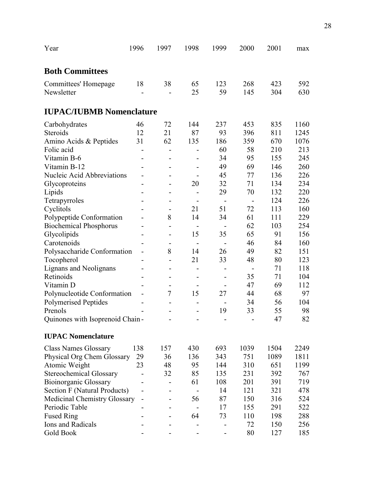| <b>Both Committees</b><br>18<br>38<br>65<br>123<br>268<br>423<br>592<br>Committees' Homepage<br>59<br>630<br>Newsletter<br>25<br>145<br>304<br>$\overline{\phantom{a}}$<br><b>IUPAC/IUBMB Nomenclature</b><br>72<br>237<br>835<br>46<br>144<br>453<br>1160<br>Carbohydrates<br>87<br>396<br>Steroids<br>12<br>21<br>93<br>811<br>1245<br>31<br>62<br>135<br>Amino Acids & Peptides<br>186<br>359<br>670<br>1076<br>60<br>Folic acid<br>58<br>210<br>213<br>Vitamin B-6<br>95<br>155<br>34<br>245<br>$\overline{\phantom{a}}$<br>Vitamin B-12<br>49<br>69<br>146<br>260<br>77<br>Nucleic Acid Abbreviations<br>45<br>136<br>226<br>$\overline{\phantom{a}}$<br>20<br>32<br>71<br>134<br>234<br>Glycoproteins<br>$\overline{\phantom{a}}$<br>29<br>220<br>70<br>132<br>Lipids<br>-<br>124<br>226<br>Tetrapyrroles<br>$\overline{\phantom{a}}$<br>$\overline{\phantom{a}}$<br>$\overline{\phantom{a}}$<br>$\blacksquare$<br>51<br>72<br>Cyclitols<br>21<br>113<br>160<br>Polypeptide Conformation<br>8<br>14<br>61<br>229<br>34<br>111<br><b>Biochemical Phosphorus</b><br>62<br>103<br>254<br>$\qquad \qquad \blacksquare$<br>Glycolipids<br>15<br>65<br>91<br>35<br>156<br>$\blacksquare$<br>46<br>84<br>160<br>Carotenoids<br>$\overline{\phantom{a}}$<br>-<br>$\overline{\phantom{a}}$<br>$\overline{\phantom{a}}$<br>8<br>Polysaccharide Conformation<br>14<br>26<br>49<br>82<br>151<br>80<br>Tocopherol<br>21<br>33<br>48<br>123<br>71<br>118<br>Lignans and Neolignans<br>-<br>Retinoids<br>35<br>104<br>71<br>$\overline{\phantom{a}}$<br>$\overline{\phantom{0}}$<br>Vitamin D<br>47<br>69<br>112<br>-<br>-<br>7<br>15<br>68<br>Polynucleotide Conformation<br>27<br>44<br>97 |
|-------------------------------------------------------------------------------------------------------------------------------------------------------------------------------------------------------------------------------------------------------------------------------------------------------------------------------------------------------------------------------------------------------------------------------------------------------------------------------------------------------------------------------------------------------------------------------------------------------------------------------------------------------------------------------------------------------------------------------------------------------------------------------------------------------------------------------------------------------------------------------------------------------------------------------------------------------------------------------------------------------------------------------------------------------------------------------------------------------------------------------------------------------------------------------------------------------------------------------------------------------------------------------------------------------------------------------------------------------------------------------------------------------------------------------------------------------------------------------------------------------------------------------------------------------------------------------------------------------------------------------------------------------------------------------------|
|                                                                                                                                                                                                                                                                                                                                                                                                                                                                                                                                                                                                                                                                                                                                                                                                                                                                                                                                                                                                                                                                                                                                                                                                                                                                                                                                                                                                                                                                                                                                                                                                                                                                                     |
|                                                                                                                                                                                                                                                                                                                                                                                                                                                                                                                                                                                                                                                                                                                                                                                                                                                                                                                                                                                                                                                                                                                                                                                                                                                                                                                                                                                                                                                                                                                                                                                                                                                                                     |
|                                                                                                                                                                                                                                                                                                                                                                                                                                                                                                                                                                                                                                                                                                                                                                                                                                                                                                                                                                                                                                                                                                                                                                                                                                                                                                                                                                                                                                                                                                                                                                                                                                                                                     |
|                                                                                                                                                                                                                                                                                                                                                                                                                                                                                                                                                                                                                                                                                                                                                                                                                                                                                                                                                                                                                                                                                                                                                                                                                                                                                                                                                                                                                                                                                                                                                                                                                                                                                     |
|                                                                                                                                                                                                                                                                                                                                                                                                                                                                                                                                                                                                                                                                                                                                                                                                                                                                                                                                                                                                                                                                                                                                                                                                                                                                                                                                                                                                                                                                                                                                                                                                                                                                                     |
|                                                                                                                                                                                                                                                                                                                                                                                                                                                                                                                                                                                                                                                                                                                                                                                                                                                                                                                                                                                                                                                                                                                                                                                                                                                                                                                                                                                                                                                                                                                                                                                                                                                                                     |
|                                                                                                                                                                                                                                                                                                                                                                                                                                                                                                                                                                                                                                                                                                                                                                                                                                                                                                                                                                                                                                                                                                                                                                                                                                                                                                                                                                                                                                                                                                                                                                                                                                                                                     |
|                                                                                                                                                                                                                                                                                                                                                                                                                                                                                                                                                                                                                                                                                                                                                                                                                                                                                                                                                                                                                                                                                                                                                                                                                                                                                                                                                                                                                                                                                                                                                                                                                                                                                     |
|                                                                                                                                                                                                                                                                                                                                                                                                                                                                                                                                                                                                                                                                                                                                                                                                                                                                                                                                                                                                                                                                                                                                                                                                                                                                                                                                                                                                                                                                                                                                                                                                                                                                                     |
|                                                                                                                                                                                                                                                                                                                                                                                                                                                                                                                                                                                                                                                                                                                                                                                                                                                                                                                                                                                                                                                                                                                                                                                                                                                                                                                                                                                                                                                                                                                                                                                                                                                                                     |
|                                                                                                                                                                                                                                                                                                                                                                                                                                                                                                                                                                                                                                                                                                                                                                                                                                                                                                                                                                                                                                                                                                                                                                                                                                                                                                                                                                                                                                                                                                                                                                                                                                                                                     |
|                                                                                                                                                                                                                                                                                                                                                                                                                                                                                                                                                                                                                                                                                                                                                                                                                                                                                                                                                                                                                                                                                                                                                                                                                                                                                                                                                                                                                                                                                                                                                                                                                                                                                     |
|                                                                                                                                                                                                                                                                                                                                                                                                                                                                                                                                                                                                                                                                                                                                                                                                                                                                                                                                                                                                                                                                                                                                                                                                                                                                                                                                                                                                                                                                                                                                                                                                                                                                                     |
|                                                                                                                                                                                                                                                                                                                                                                                                                                                                                                                                                                                                                                                                                                                                                                                                                                                                                                                                                                                                                                                                                                                                                                                                                                                                                                                                                                                                                                                                                                                                                                                                                                                                                     |
|                                                                                                                                                                                                                                                                                                                                                                                                                                                                                                                                                                                                                                                                                                                                                                                                                                                                                                                                                                                                                                                                                                                                                                                                                                                                                                                                                                                                                                                                                                                                                                                                                                                                                     |
|                                                                                                                                                                                                                                                                                                                                                                                                                                                                                                                                                                                                                                                                                                                                                                                                                                                                                                                                                                                                                                                                                                                                                                                                                                                                                                                                                                                                                                                                                                                                                                                                                                                                                     |
|                                                                                                                                                                                                                                                                                                                                                                                                                                                                                                                                                                                                                                                                                                                                                                                                                                                                                                                                                                                                                                                                                                                                                                                                                                                                                                                                                                                                                                                                                                                                                                                                                                                                                     |
|                                                                                                                                                                                                                                                                                                                                                                                                                                                                                                                                                                                                                                                                                                                                                                                                                                                                                                                                                                                                                                                                                                                                                                                                                                                                                                                                                                                                                                                                                                                                                                                                                                                                                     |
|                                                                                                                                                                                                                                                                                                                                                                                                                                                                                                                                                                                                                                                                                                                                                                                                                                                                                                                                                                                                                                                                                                                                                                                                                                                                                                                                                                                                                                                                                                                                                                                                                                                                                     |
|                                                                                                                                                                                                                                                                                                                                                                                                                                                                                                                                                                                                                                                                                                                                                                                                                                                                                                                                                                                                                                                                                                                                                                                                                                                                                                                                                                                                                                                                                                                                                                                                                                                                                     |
|                                                                                                                                                                                                                                                                                                                                                                                                                                                                                                                                                                                                                                                                                                                                                                                                                                                                                                                                                                                                                                                                                                                                                                                                                                                                                                                                                                                                                                                                                                                                                                                                                                                                                     |
|                                                                                                                                                                                                                                                                                                                                                                                                                                                                                                                                                                                                                                                                                                                                                                                                                                                                                                                                                                                                                                                                                                                                                                                                                                                                                                                                                                                                                                                                                                                                                                                                                                                                                     |
|                                                                                                                                                                                                                                                                                                                                                                                                                                                                                                                                                                                                                                                                                                                                                                                                                                                                                                                                                                                                                                                                                                                                                                                                                                                                                                                                                                                                                                                                                                                                                                                                                                                                                     |
|                                                                                                                                                                                                                                                                                                                                                                                                                                                                                                                                                                                                                                                                                                                                                                                                                                                                                                                                                                                                                                                                                                                                                                                                                                                                                                                                                                                                                                                                                                                                                                                                                                                                                     |
|                                                                                                                                                                                                                                                                                                                                                                                                                                                                                                                                                                                                                                                                                                                                                                                                                                                                                                                                                                                                                                                                                                                                                                                                                                                                                                                                                                                                                                                                                                                                                                                                                                                                                     |
| <b>Polymerised Peptides</b><br>34<br>56<br>104<br>$\overline{a}$<br>-                                                                                                                                                                                                                                                                                                                                                                                                                                                                                                                                                                                                                                                                                                                                                                                                                                                                                                                                                                                                                                                                                                                                                                                                                                                                                                                                                                                                                                                                                                                                                                                                               |
| 55<br>Prenols<br>19<br>33<br>98<br>-                                                                                                                                                                                                                                                                                                                                                                                                                                                                                                                                                                                                                                                                                                                                                                                                                                                                                                                                                                                                                                                                                                                                                                                                                                                                                                                                                                                                                                                                                                                                                                                                                                                |
| 47<br>82<br>Quinones with Isoprenoid Chain-                                                                                                                                                                                                                                                                                                                                                                                                                                                                                                                                                                                                                                                                                                                                                                                                                                                                                                                                                                                                                                                                                                                                                                                                                                                                                                                                                                                                                                                                                                                                                                                                                                         |
| <b>IUPAC Nomenclature</b>                                                                                                                                                                                                                                                                                                                                                                                                                                                                                                                                                                                                                                                                                                                                                                                                                                                                                                                                                                                                                                                                                                                                                                                                                                                                                                                                                                                                                                                                                                                                                                                                                                                           |
| 430<br>693<br>1039<br>1504<br><b>Class Names Glossary</b><br>138<br>157<br>2249                                                                                                                                                                                                                                                                                                                                                                                                                                                                                                                                                                                                                                                                                                                                                                                                                                                                                                                                                                                                                                                                                                                                                                                                                                                                                                                                                                                                                                                                                                                                                                                                     |
| Physical Org Chem Glossary<br>29<br>136<br>343<br>1089<br>1811<br>36<br>751                                                                                                                                                                                                                                                                                                                                                                                                                                                                                                                                                                                                                                                                                                                                                                                                                                                                                                                                                                                                                                                                                                                                                                                                                                                                                                                                                                                                                                                                                                                                                                                                         |
| 23<br>Atomic Weight<br>48<br>95<br>144<br>310<br>651<br>1199                                                                                                                                                                                                                                                                                                                                                                                                                                                                                                                                                                                                                                                                                                                                                                                                                                                                                                                                                                                                                                                                                                                                                                                                                                                                                                                                                                                                                                                                                                                                                                                                                        |
| <b>Stereochemical Glossary</b><br>32<br>85<br>135<br>392<br>231<br>767                                                                                                                                                                                                                                                                                                                                                                                                                                                                                                                                                                                                                                                                                                                                                                                                                                                                                                                                                                                                                                                                                                                                                                                                                                                                                                                                                                                                                                                                                                                                                                                                              |
| <b>Bioinorganic Glossary</b><br>61<br>108<br>201<br>391<br>719                                                                                                                                                                                                                                                                                                                                                                                                                                                                                                                                                                                                                                                                                                                                                                                                                                                                                                                                                                                                                                                                                                                                                                                                                                                                                                                                                                                                                                                                                                                                                                                                                      |
| Section F (Natural Products)<br>14<br>121<br>321<br>478                                                                                                                                                                                                                                                                                                                                                                                                                                                                                                                                                                                                                                                                                                                                                                                                                                                                                                                                                                                                                                                                                                                                                                                                                                                                                                                                                                                                                                                                                                                                                                                                                             |
| <b>Medicinal Chemistry Glossary</b><br>87<br>150<br>316<br>56<br>524                                                                                                                                                                                                                                                                                                                                                                                                                                                                                                                                                                                                                                                                                                                                                                                                                                                                                                                                                                                                                                                                                                                                                                                                                                                                                                                                                                                                                                                                                                                                                                                                                |
| Periodic Table<br>155<br>291<br>522<br>17                                                                                                                                                                                                                                                                                                                                                                                                                                                                                                                                                                                                                                                                                                                                                                                                                                                                                                                                                                                                                                                                                                                                                                                                                                                                                                                                                                                                                                                                                                                                                                                                                                           |
| <b>Fused Ring</b><br>288<br>64<br>73<br>110<br>198                                                                                                                                                                                                                                                                                                                                                                                                                                                                                                                                                                                                                                                                                                                                                                                                                                                                                                                                                                                                                                                                                                                                                                                                                                                                                                                                                                                                                                                                                                                                                                                                                                  |
| Ions and Radicals<br>72<br>150<br>256                                                                                                                                                                                                                                                                                                                                                                                                                                                                                                                                                                                                                                                                                                                                                                                                                                                                                                                                                                                                                                                                                                                                                                                                                                                                                                                                                                                                                                                                                                                                                                                                                                               |
| Gold Book<br>80<br>127<br>185                                                                                                                                                                                                                                                                                                                                                                                                                                                                                                                                                                                                                                                                                                                                                                                                                                                                                                                                                                                                                                                                                                                                                                                                                                                                                                                                                                                                                                                                                                                                                                                                                                                       |